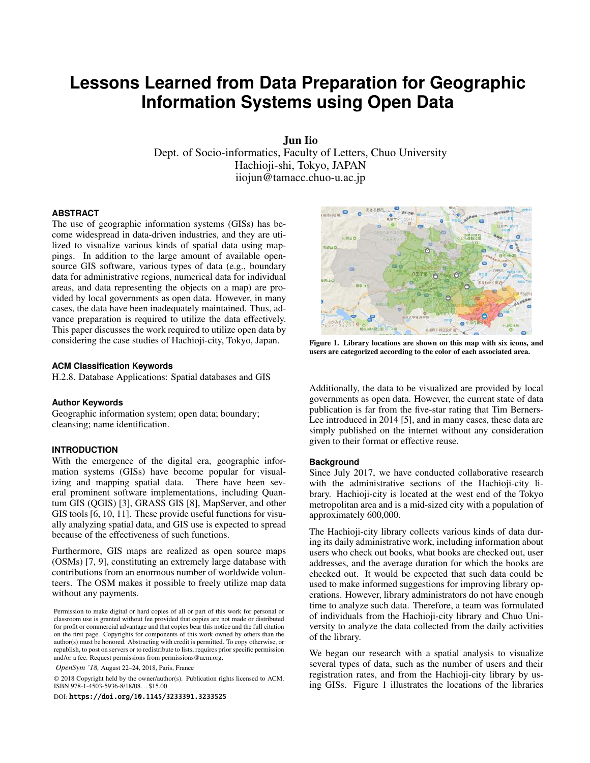# **Lessons Learned from Data Preparation for Geographic Information Systems using Open Data**

Jun Iio

Dept. of Socio-informatics, Faculty of Letters, Chuo University Hachioji-shi, Tokyo, JAPAN iiojun@tamacc.chuo-u.ac.jp

# **ABSTRACT**

The use of geographic information systems (GISs) has become widespread in data-driven industries, and they are utilized to visualize various kinds of spatial data using mappings. In addition to the large amount of available opensource GIS software, various types of data (e.g., boundary data for administrative regions, numerical data for individual areas, and data representing the objects on a map) are provided by local governments as open data. However, in many cases, the data have been inadequately maintained. Thus, advance preparation is required to utilize the data effectively. This paper discusses the work required to utilize open data by considering the case studies of Hachioji-city, Tokyo, Japan.

## **ACM Classification Keywords**

H.2.8. Database Applications: Spatial databases and GIS

## **Author Keywords**

Geographic information system; open data; boundary; cleansing; name identification.

## **INTRODUCTION**

With the emergence of the digital era, geographic information systems (GISs) have become popular for visualizing and mapping spatial data. There have been several prominent software implementations, including Quantum GIS (QGIS) [3], GRASS GIS [8], MapServer, and other GIS tools [6, 10, 11]. These provide useful functions for visually analyzing spatial data, and GIS use is expected to spread because of the effectiveness of such functions.

Furthermore, GIS maps are realized as open source maps (OSMs) [7, 9], constituting an extremely large database with contributions from an enormous number of worldwide volunteers. The OSM makes it possible to freely utilize map data without any payments.

*OpenSym '18,* August 22–24, 2018, Paris, France

© 2018 Copyright held by the owner/author(s). Publication rights licensed to ACM. ISBN 978-1-4503-5936-8/18/08. . . \$15.00

DOI: https://doi.org/10.1145/3233391.3233525

Figure 1. Library locations are shown on this map with six icons, and users are categorized according to the color of each associated area.

Additionally, the data to be visualized are provided by local governments as open data. However, the current state of data publication is far from the five-star rating that Tim Berners-Lee introduced in 2014 [5], and in many cases, these data are simply published on the internet without any consideration given to their format or effective reuse.

## **Background**

Since July 2017, we have conducted collaborative research with the administrative sections of the Hachioji-city library. Hachioji-city is located at the west end of the Tokyo metropolitan area and is a mid-sized city with a population of approximately 600,000.

The Hachioji-city library collects various kinds of data during its daily administrative work, including information about users who check out books, what books are checked out, user addresses, and the average duration for which the books are checked out. It would be expected that such data could be used to make informed suggestions for improving library operations. However, library administrators do not have enough time to analyze such data. Therefore, a team was formulated of individuals from the Hachioji-city library and Chuo University to analyze the data collected from the daily activities of the library.

We began our research with a spatial analysis to visualize several types of data, such as the number of users and their registration rates, and from the Hachioji-city library by using GISs. Figure 1 illustrates the locations of the libraries

Permission to make digital or hard copies of all or part of this work for personal or classroom use is granted without fee provided that copies are not made or distributed for profit or commercial advantage and that copies bear this notice and the full citation on the first page. Copyrights for components of this work owned by others than the author(s) must be honored. Abstracting with credit is permitted. To copy otherwise, or republish, to post on servers or to redistribute to lists, requires prior specific permission and/or a fee. Request permissions from permissions@acm.org.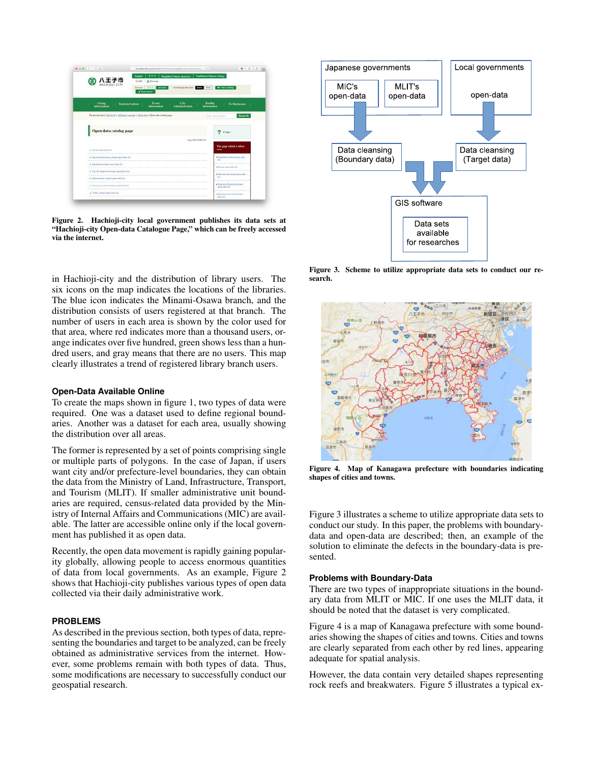

Figure 2. Hachioji-city local government publishes its data sets at "Hachioji-city Open-data Catalogue Page," which can be freely accessed via the internet.

in Hachioji-city and the distribution of library users. The six icons on the map indicates the locations of the libraries. The blue icon indicates the Minami-Osawa branch, and the distribution consists of users registered at that branch. The number of users in each area is shown by the color used for that area, where red indicates more than a thousand users, orange indicates over five hundred, green shows less than a hundred users, and gray means that there are no users. This map clearly illustrates a trend of registered library branch users.

## **Open-Data Available Online**

To create the maps shown in figure 1, two types of data were required. One was a dataset used to define regional boundaries. Another was a dataset for each area, usually showing the distribution over all areas.

The former is represented by a set of points comprising single or multiple parts of polygons. In the case of Japan, if users want city and/or prefecture-level boundaries, they can obtain the data from the Ministry of Land, Infrastructure, Transport, and Tourism (MLIT). If smaller administrative unit boundaries are required, census-related data provided by the Ministry of Internal Affairs and Communications (MIC) are available. The latter are accessible online only if the local government has published it as open data.

Recently, the open data movement is rapidly gaining popularity globally, allowing people to access enormous quantities of data from local governments. As an example, Figure 2 shows that Hachioji-city publishes various types of open data collected via their daily administrative work.

# **PROBLEMS**

As described in the previous section, both types of data, representing the boundaries and target to be analyzed, can be freely obtained as administrative services from the internet. However, some problems remain with both types of data. Thus, some modifications are necessary to successfully conduct our geospatial research.



Figure 3. Scheme to utilize appropriate data sets to conduct our research.



Figure 4. Map of Kanagawa prefecture with boundaries indicating shapes of cities and towns.

Figure 3 illustrates a scheme to utilize appropriate data sets to conduct our study. In this paper, the problems with boundarydata and open-data are described; then, an example of the solution to eliminate the defects in the boundary-data is presented.

## **Problems with Boundary-Data**

There are two types of inappropriate situations in the boundary data from MLIT or MIC. If one uses the MLIT data, it should be noted that the dataset is very complicated.

Figure 4 is a map of Kanagawa prefecture with some boundaries showing the shapes of cities and towns. Cities and towns are clearly separated from each other by red lines, appearing adequate for spatial analysis.

However, the data contain very detailed shapes representing rock reefs and breakwaters. Figure 5 illustrates a typical ex-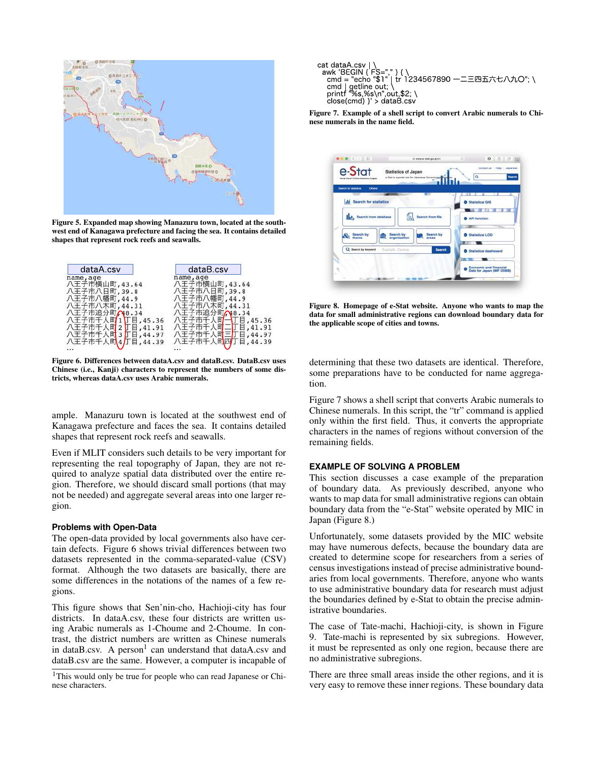

Figure 5. Expanded map showing Manazuru town, located at the southwest end of Kanagawa prefecture and facing the sea. It contains detailed shapes that represent rock reefs and seawalls.



Figure 6. Differences between dataA.csv and dataB.csv. DataB.csv uses Chinese (i.e., Kanji) characters to represent the numbers of some districts, whereas dataA.csv uses Arabic numerals.

ample. Manazuru town is located at the southwest end of Kanagawa prefecture and faces the sea. It contains detailed shapes that represent rock reefs and seawalls.

Even if MLIT considers such details to be very important for representing the real topography of Japan, they are not required to analyze spatial data distributed over the entire region. Therefore, we should discard small portions (that may not be needed) and aggregate several areas into one larger region.

#### **Problems with Open-Data**

The open-data provided by local governments also have certain defects. Figure 6 shows trivial differences between two datasets represented in the comma-separated-value (CSV) format. Although the two datasets are basically, there are some differences in the notations of the names of a few regions.

This figure shows that Sen'nin-cho, Hachioji-city has four districts. In dataA.csv, these four districts are written using Arabic numerals as 1-Choume and 2-Choume. In contrast, the district numbers are written as Chinese numerals in dataB.csv. A person<sup>1</sup> can understand that dataA.csv and dataB.csv are the same. However, a computer is incapable of

Figure 7. Example of a shell script to convert Arabic numerals to Chinese numerals in the name field.

| Search for statistics                                        | <b>Others</b>                                         |                                     |
|--------------------------------------------------------------|-------------------------------------------------------|-------------------------------------|
| dil Search for statistics                                    |                                                       | <b>Statistical GIS</b>              |
| <b>He</b> Search from database                               | <b>Search from file</b>                               | <b>API function</b><br><b>There</b> |
| Search by<br>theme                                           | Search by<br>organization<br>Search by<br>ШV<br>areas | Statistical LOD                     |
| Q Search by keyword<br>Estergille : Germani<br><b>Search</b> |                                                       | <b>Statistical dashboard</b>        |

Figure 8. Homepage of e-Stat website. Anyone who wants to map the data for small administrative regions can download boundary data for the applicable scope of cities and towns.

determining that these two datasets are identical. Therefore, some preparations have to be conducted for name aggregation.

Figure 7 shows a shell script that converts Arabic numerals to Chinese numerals. In this script, the "tr" command is applied only within the first field. Thus, it converts the appropriate characters in the names of regions without conversion of the remaining fields.

# **EXAMPLE OF SOLVING A PROBLEM**

This section discusses a case example of the preparation of boundary data. As previously described, anyone who wants to map data for small administrative regions can obtain boundary data from the "e-Stat" website operated by MIC in Japan (Figure 8.)

Unfortunately, some datasets provided by the MIC website may have numerous defects, because the boundary data are created to determine scope for researchers from a series of census investigations instead of precise administrative boundaries from local governments. Therefore, anyone who wants to use administrative boundary data for research must adjust the boundaries defined by e-Stat to obtain the precise administrative boundaries.

The case of Tate-machi, Hachioji-city, is shown in Figure 9. Tate-machi is represented by six subregions. However, it must be represented as only one region, because there are no administrative subregions.

There are three small areas inside the other regions, and it is very easy to remove these inner regions. These boundary data

<sup>&</sup>lt;sup>1</sup>This would only be true for people who can read Japanese or Chinese characters.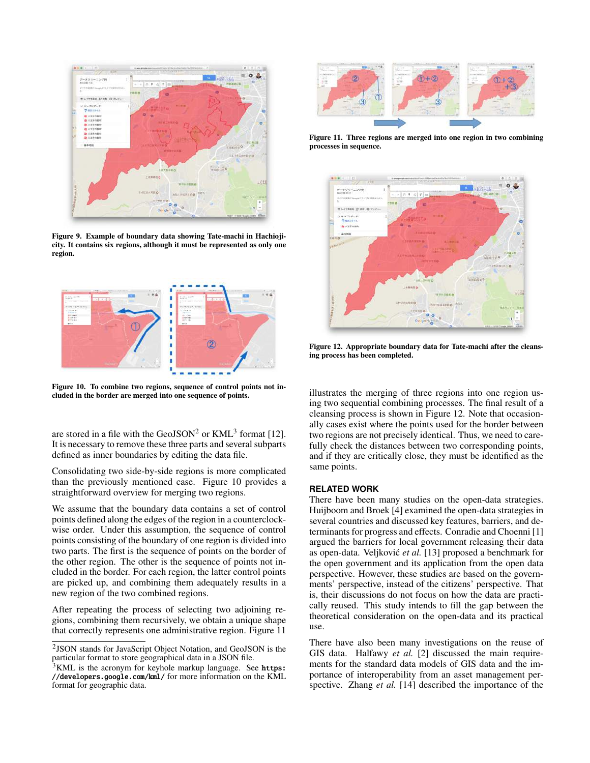

Figure 9. Example of boundary data showing Tate-machi in Hachiojicity. It contains six regions, although it must be represented as only one region.



Figure 10. To combine two regions, sequence of control points not included in the border are merged into one sequence of points.

are stored in a file with the GeoJSON<sup>2</sup> or  $KML<sup>3</sup>$  format [12]. It is necessary to remove these three parts and several subparts defined as inner boundaries by editing the data file.

Consolidating two side-by-side regions is more complicated than the previously mentioned case. Figure 10 provides a straightforward overview for merging two regions.

We assume that the boundary data contains a set of control points defined along the edges of the region in a counterclockwise order. Under this assumption, the sequence of control points consisting of the boundary of one region is divided into two parts. The first is the sequence of points on the border of the other region. The other is the sequence of points not included in the border. For each region, the latter control points are picked up, and combining them adequately results in a new region of the two combined regions.

After repeating the process of selecting two adjoining regions, combining them recursively, we obtain a unique shape that correctly represents one administrative region. Figure 11



Figure 11. Three regions are merged into one region in two combining processes in sequence.



Figure 12. Appropriate boundary data for Tate-machi after the cleansing process has been completed.

illustrates the merging of three regions into one region using two sequential combining processes. The final result of a cleansing process is shown in Figure 12. Note that occasionally cases exist where the points used for the border between two regions are not precisely identical. Thus, we need to carefully check the distances between two corresponding points, and if they are critically close, they must be identified as the same points.

#### **RELATED WORK**

There have been many studies on the open-data strategies. Huijboom and Broek [4] examined the open-data strategies in several countries and discussed key features, barriers, and determinants for progress and effects. Conradie and Choenni [1] argued the barriers for local government releasing their data as open-data. Veljković et al. [13] proposed a benchmark for the open government and its application from the open data perspective. However, these studies are based on the governments' perspective, instead of the citizens' perspective. That is, their discussions do not focus on how the data are practically reused. This study intends to fill the gap between the theoretical consideration on the open-data and its practical use.

There have also been many investigations on the reuse of GIS data. Halfawy *et al.* [2] discussed the main requirements for the standard data models of GIS data and the importance of interoperability from an asset management perspective. Zhang *et al.* [14] described the importance of the

<sup>2</sup> JSON stands for JavaScript Object Notation, and GeoJSON is the particular format to store geographical data in a JSON file.

 $3$ KML is the acronym for keyhole markup language. See https: //developers.google.com/kml/ for more information on the KML format for geographic data.